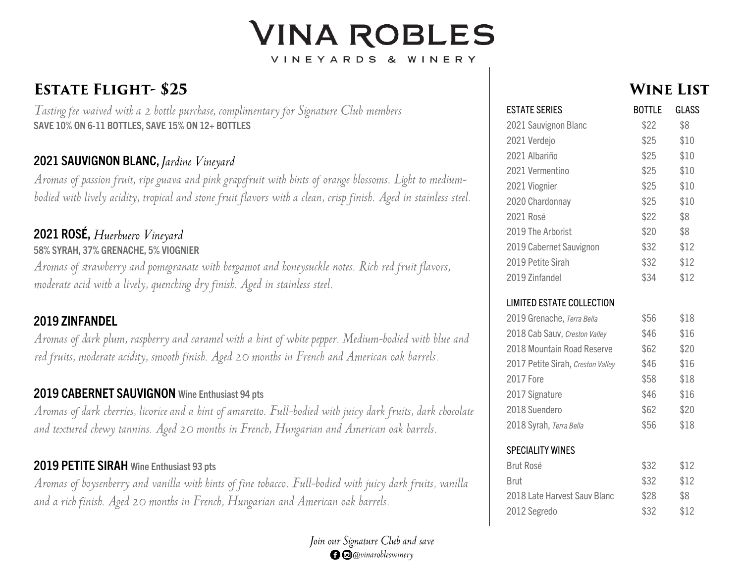# **VINA ROBLES** VINEYARDS & WINERY

## **ESTATE FLIGHT-\$25**

Tasting fee waived with a 2 bottle purchase, complimentary for Signature Club members **SAVE 10% ON 6 -11 BOTTLES, SAVE 15% ON 12+ BOTTLES**

#### **2021 SAUVIGNON BLANC ,**

Aromas of passion fruit, ripe guava and pink grapefruit with hints of orange blossoms. Light to mediumbodied with lively acidity, tropical and stone fruit flavors with a clean, crisp finish. Aged in stainless steel.

### **2021 ROSÉ ,**

#### **58% SYRAH, 3 7% GRENACHE, 5% VIOGNIER**

Aromas of strawberry and pomegranate with bergamot and honeysuckle notes. Rich red fruit flavors, moderate acid with a lively, quenching dry finish. Aged in stainless steel.

#### **2019 ZINFANDEL**

Aromas of dark plum, raspberry and caramel with a hint of white pepper. Medium-bodied with blue and red fruits, moderate acidity, smooth finish. Aged 20 months in French and American oak barrels.

#### **2019 CABERNET SAUVIGNON Wine Enthusiast 94 pts**

Aromas of dark cherries, licorice and a hint of amaretto. Full-bodied with juicy dark fruits, dark chocolate and textured chewy tannins. Aged 20 months in French, Hungarian and American oak barrels.

#### **2019 PETITE SIRAH Wine Enthusiast 93 pts**

Aromas of boysenberry and vanilla with hints of fine tobacco. Full-bodied with juicy dark fruits, vanilla and a rich finish. Aged 20 months in French, Hungarian and American oak barrels.



### **WINE LIST**

| <b>ESTATE SERIES</b>              | <b>BOTTLE</b> | GLASS |
|-----------------------------------|---------------|-------|
| 2021 Sauvignon Blanc              | \$22          | \$8   |
| 2021 Verdejo                      | \$25          | \$10  |
| 2021 Albariño                     | \$25          | \$10  |
| 2021 Vermentino                   | \$25          | \$10  |
| 2021 Viognier                     | \$25          | \$10  |
| 2020 Chardonnay                   | \$25          | \$10  |
| 2021 Rosé                         | \$22          | \$8   |
| 2019 The Arborist                 | \$20          | \$8   |
| 2019 Cabernet Sauvignon           | \$32          | \$12  |
| 2019 Petite Sirah                 | \$32          | \$12  |
| 2019 Zinfandel                    | \$34          | \$12  |
| <b>LIMITED ESTATE COLLECTION</b>  |               |       |
| 2019 Grenache, Terra Bella        | \$56          | \$18  |
| 2018 Cab Sauv, Creston Valley     | \$46          | \$16  |
| 2018 Mountain Road Reserve        | \$62          | \$20  |
| 2017 Petite Sirah, Creston Valley | \$46          | \$16  |
| <b>2017 Fore</b>                  | \$58          | \$18  |
| 2017 Signature                    | \$46          | \$16  |
| 2018 Suendero                     | \$62          | \$20  |
| 2018 Syrah, Terra Bella           | \$56          | \$18  |
| <b>SPECIALITY WINES</b>           |               |       |
| <b>Brut Rosé</b>                  | \$32          | \$12  |
| <b>Brut</b>                       | \$32          | \$12  |
| 2018 Late Harvest Sauv Blanc      | \$28          | \$8   |
| 2012 Segredo                      | \$32          | \$12  |